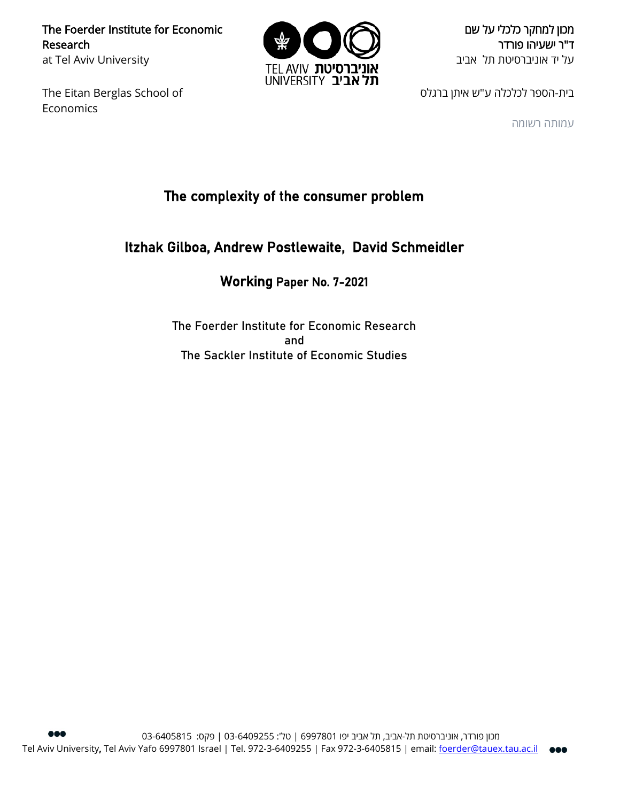The Foerder Institute for Economic Research at Tel Aviv University

The Eitan Berglas School of Economics



מכון למחקר כלכלי על שם ד"ר ישעיהו פורדר על יד אוניברסיטת תל אביב

בית-הספר לכלכלה ע"ש איתן ברגלס

עמותה רשומה

# The complexity of the consumer problem

# Itzhak Gilboa, Andrew Postlewaite, David Schmeidler

# Working Paper No. 7-2021

The Foerder Institute for Economic Research and The Sackler Institute of Economic Studies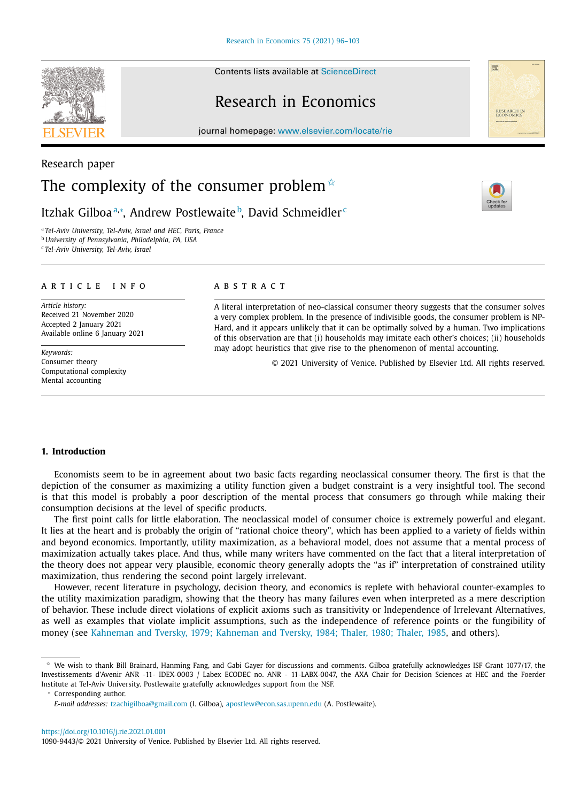Contents lists available at [ScienceDirect](http://www.ScienceDirect.com)

# Research in Economics

journal homepage: [www.elsevier.com/locate/rie](http://www.elsevier.com/locate/rie)

# Research paper The complexity of the consumer problem<sup> $\dot{\mathbf{x}}$ </sup>

Itzhak Gilboa<sup>a,</sup>\*, Andrew Postlewaite<sup>b</sup>, David Schmeidler<sup>c</sup>

<sup>a</sup> *Tel-Aviv University, Tel-Aviv, Israel and HEC, Paris, France*

<sup>b</sup> *University of Pennsylvania, Philadelphia, PA, USA*

<sup>c</sup> *Tel-Aviv University, Tel-Aviv, Israel*

# a r t i c l e i n f o

*Article history:* Received 21 November 2020 Accepted 2 January 2021 Available online 6 January 2021

*Keywords:* Consumer theory Computational complexity Mental accounting

# a b s t r a c t

A literal interpretation of neo-classical consumer theory suggests that the consumer solves a very complex problem. In the presence of indivisible goods, the consumer problem is NP-Hard, and it appears unlikely that it can be optimally solved by a human. Two implications of this observation are that (i) households may imitate each other's choices; (ii) households may adopt heuristics that give rise to the phenomenon of mental accounting.

© 2021 University of Venice. Published by Elsevier Ltd. All rights reserved.

# **1. Introduction**

Economists seem to be in agreement about two basic facts regarding neoclassical consumer theory. The first is that the depiction of the consumer as maximizing a utility function given a budget constraint is a very insightful tool. The second is that this model is probably a poor description of the mental process that consumers go through while making their consumption decisions at the level of specific products.

The first point calls for little elaboration. The neoclassical model of consumer choice is extremely powerful and elegant. It lies at the heart and is probably the origin of "rational choice theory", which has been applied to a variety of fields within and beyond economics. Importantly, utility maximization, as a behavioral model, does not assume that a mental process of maximization actually takes place. And thus, while many writers have commented on the fact that a literal interpretation of the theory does not appear very plausible, economic theory generally adopts the "as if" interpretation of constrained utility maximization, thus rendering the second point largely irrelevant.

However, recent literature in psychology, decision theory, and economics is replete with behavioral counter-examples to the utility maximization paradigm, showing that the theory has many failures even when interpreted as a mere description of behavior. These include direct violations of explicit axioms such as transitivity or Independence of Irrelevant Alternatives, as well as examples that violate implicit assumptions, such as the independence of reference points or the fungibility of money (see [Kahneman](#page-8-0) and Tversky, 1979; Kahneman and Tversky, 1984; Thaler, 1980; Thaler, 1985, and others).







 $*$  We wish to thank Bill Brainard, Hanming Fang, and Gabi Gayer for discussions and comments. Gilboa gratefully acknowledges ISF Grant 1077/17, the Investissements d'Avenir ANR -11- IDEX-0003 / Labex ECODEC no. ANR - 11-LABX-0047, the AXA Chair for Decision Sciences at HEC and the Foerder Institute at Tel-Aviv University. Postlewaite gratefully acknowledges support from the NSF.

Corresponding author.

*E-mail addresses:* [tzachigilboa@gmail.com](mailto:tzachigilboa@gmail.com) (I. Gilboa), [apostlew@econ.sas.upenn.edu](mailto:apostlew@econ.sas.upenn.edu) (A. Postlewaite).

<sup>1090-9443/© 2021</sup> University of Venice. Published by Elsevier Ltd. All rights reserved.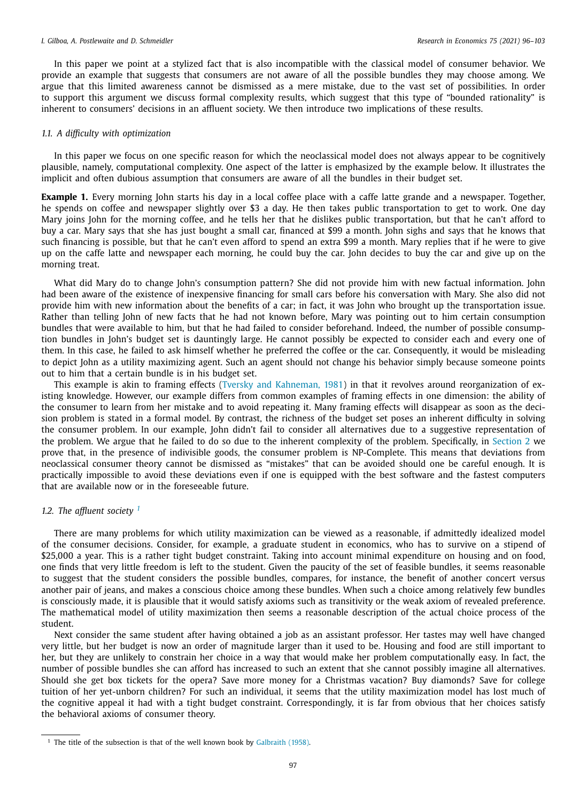In this paper we point at a stylized fact that is also incompatible with the classical model of consumer behavior. We provide an example that suggests that consumers are not aware of all the possible bundles they may choose among. We argue that this limited awareness cannot be dismissed as a mere mistake, due to the vast set of possibilities. In order to support this argument we discuss formal complexity results, which suggest that this type of "bounded rationality" is inherent to consumers' decisions in an affluent society. We then introduce two implications of these results.

#### *1.1. A difficulty with optimization*

In this paper we focus on one specific reason for which the neoclassical model does not always appear to be cognitively plausible, namely, computational complexity. One aspect of the latter is emphasized by the example below. It illustrates the implicit and often dubious assumption that consumers are aware of all the bundles in their budget set.

**Example 1.** Every morning John starts his day in a local coffee place with a caffe latte grande and a newspaper. Together, he spends on coffee and newspaper slightly over \$3 a day. He then takes public transportation to get to work. One day Mary joins John for the morning coffee, and he tells her that he dislikes public transportation, but that he can't afford to buy a car. Mary says that she has just bought a small car, financed at \$99 a month. John sighs and says that he knows that such financing is possible, but that he can't even afford to spend an extra \$99 a month. Mary replies that if he were to give up on the caffe latte and newspaper each morning, he could buy the car. John decides to buy the car and give up on the morning treat.

What did Mary do to change John's consumption pattern? She did not provide him with new factual information. John had been aware of the existence of inexpensive financing for small cars before his conversation with Mary. She also did not provide him with new information about the benefits of a car; in fact, it was John who brought up the transportation issue. Rather than telling John of new facts that he had not known before, Mary was pointing out to him certain consumption bundles that were available to him, but that he had failed to consider beforehand. Indeed, the number of possible consumption bundles in John's budget set is dauntingly large. He cannot possibly be expected to consider each and every one of them. In this case, he failed to ask himself whether he preferred the coffee or the car. Consequently, it would be misleading to depict John as a utility maximizing agent. Such an agent should not change his behavior simply because someone points out to him that a certain bundle is in his budget set.

This example is akin to framing effects (Tversky and [Kahneman,](#page-8-0) 1981) in that it revolves around reorganization of existing knowledge. However, our example differs from common examples of framing effects in one dimension: the ability of the consumer to learn from her mistake and to avoid repeating it. Many framing effects will disappear as soon as the decision problem is stated in a formal model. By contrast, the richness of the budget set poses an inherent difficulty in solving the consumer problem. In our example, John didn't fail to consider all alternatives due to a suggestive representation of the problem. We argue that he failed to do so due to the inherent complexity of the problem. Specifically, in [Section](#page-3-0) 2 we prove that, in the presence of indivisible goods, the consumer problem is NP-Complete. This means that deviations from neoclassical consumer theory cannot be dismissed as "mistakes" that can be avoided should one be careful enough. It is practically impossible to avoid these deviations even if one is equipped with the best software and the fastest computers that are available now or in the foreseeable future.

# *1.2. The affluent society <sup>1</sup>*

There are many problems for which utility maximization can be viewed as a reasonable, if admittedly idealized model of the consumer decisions. Consider, for example, a graduate student in economics, who has to survive on a stipend of \$25,000 a year. This is a rather tight budget constraint. Taking into account minimal expenditure on housing and on food, one finds that very little freedom is left to the student. Given the paucity of the set of feasible bundles, it seems reasonable to suggest that the student considers the possible bundles, compares, for instance, the benefit of another concert versus another pair of jeans, and makes a conscious choice among these bundles. When such a choice among relatively few bundles is consciously made, it is plausible that it would satisfy axioms such as transitivity or the weak axiom of revealed preference. The mathematical model of utility maximization then seems a reasonable description of the actual choice process of the student.

Next consider the same student after having obtained a job as an assistant professor. Her tastes may well have changed very little, but her budget is now an order of magnitude larger than it used to be. Housing and food are still important to her, but they are unlikely to constrain her choice in a way that would make her problem computationally easy. In fact, the number of possible bundles she can afford has increased to such an extent that she cannot possibly imagine all alternatives. Should she get box tickets for the opera? Save more money for a Christmas vacation? Buy diamonds? Save for college tuition of her yet-unborn children? For such an individual, it seems that the utility maximization model has lost much of the cognitive appeal it had with a tight budget constraint. Correspondingly, it is far from obvious that her choices satisfy the behavioral axioms of consumer theory.

<sup>&</sup>lt;sup>1</sup> The title of the subsection is that of the well known book by [Galbraith](#page-8-0) (1958).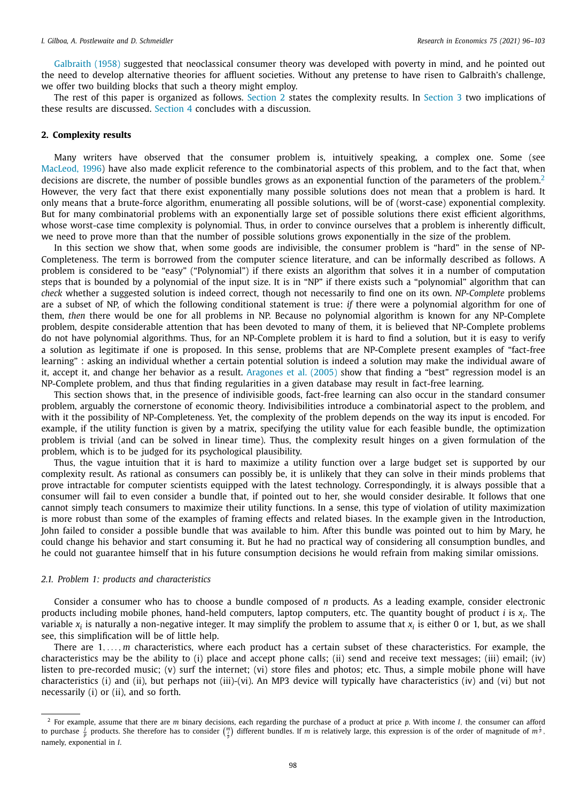<span id="page-3-0"></span>[Galbraith](#page-8-0) (1958) suggested that neoclassical consumer theory was developed with poverty in mind, and he pointed out the need to develop alternative theories for affluent societies. Without any pretense to have risen to Galbraith's challenge, we offer two building blocks that such a theory might employ.

The rest of this paper is organized as follows. [Section](#page-5-0) 2 states the complexity results. In Section 3 two implications of these results are discussed. [Section](#page-6-0) 4 concludes with a discussion.

### **2. Complexity results**

Many writers have observed that the consumer problem is, intuitively speaking, a complex one. Some (see [MacLeod,](#page-8-0) 1996) have also made explicit reference to the combinatorial aspects of this problem, and to the fact that, when decisions are discrete, the number of possible bundles grows as an exponential function of the parameters of the problem. $2$ However, the very fact that there exist exponentially many possible solutions does not mean that a problem is hard. It only means that a brute-force algorithm, enumerating all possible solutions, will be of (worst-case) exponential complexity. But for many combinatorial problems with an exponentially large set of possible solutions there exist efficient algorithms, whose worst-case time complexity is polynomial. Thus, in order to convince ourselves that a problem is inherently difficult, we need to prove more than that the number of possible solutions grows exponentially in the size of the problem.

In this section we show that, when some goods are indivisible, the consumer problem is "hard" in the sense of NP-Completeness. The term is borrowed from the computer science literature, and can be informally described as follows. A problem is considered to be "easy" ("Polynomial") if there exists an algorithm that solves it in a number of computation steps that is bounded by a polynomial of the input size. It is in "NP" if there exists such a "polynomial" algorithm that can *check* whether a suggested solution is indeed correct, though not necessarily to find one on its own. *NP-Complete* problems are a subset of NP, of which the following conditional statement is true: *if* there were a polynomial algorithm for one of them, *then* there would be one for all problems in NP. Because no polynomial algorithm is known for any NP-Complete problem, despite considerable attention that has been devoted to many of them, it is believed that NP-Complete problems do not have polynomial algorithms. Thus, for an NP-Complete problem it is hard to find a solution, but it is easy to verify a solution as legitimate if one is proposed. In this sense, problems that are NP-Complete present examples of "fact-free learning" : asking an individual whether a certain potential solution is indeed a solution may make the individual aware of it, accept it, and change her behavior as a result. [Aragones](#page-8-0) et al. (2005) show that finding a "best" regression model is an NP-Complete problem, and thus that finding regularities in a given database may result in fact-free learning.

This section shows that, in the presence of indivisible goods, fact-free learning can also occur in the standard consumer problem, arguably the cornerstone of economic theory. Indivisibilities introduce a combinatorial aspect to the problem, and with it the possibility of NP-Completeness. Yet, the complexity of the problem depends on the way its input is encoded. For example, if the utility function is given by a matrix, specifying the utility value for each feasible bundle, the optimization problem is trivial (and can be solved in linear time). Thus, the complexity result hinges on a given formulation of the problem, which is to be judged for its psychological plausibility.

Thus, the vague intuition that it is hard to maximize a utility function over a large budget set is supported by our complexity result. As rational as consumers can possibly be, it is unlikely that they can solve in their minds problems that prove intractable for computer scientists equipped with the latest technology. Correspondingly, it is always possible that a consumer will fail to even consider a bundle that, if pointed out to her, she would consider desirable. It follows that one cannot simply teach consumers to maximize their utility functions. In a sense, this type of violation of utility maximization is more robust than some of the examples of framing effects and related biases. In the example given in the Introduction, John failed to consider a possible bundle that was available to him. After this bundle was pointed out to him by Mary, he could change his behavior and start consuming it. But he had no practical way of considering all consumption bundles, and he could not guarantee himself that in his future consumption decisions he would refrain from making similar omissions.

#### *2.1. Problem 1: products and characteristics*

Consider a consumer who has to choose a bundle composed of *n* products. As a leading example, consider electronic products including mobile phones, hand-held computers, laptop computers, etc. The quantity bought of product *i* is *xi*. The variable  $x_i$  is naturally a non-negative integer. It may simplify the problem to assume that  $x_i$  is either 0 or 1, but, as we shall see, this simplification will be of little help.

There are 1, ... , *m* characteristics, where each product has a certain subset of these characteristics. For example, the characteristics may be the ability to (i) place and accept phone calls; (ii) send and receive text messages; (iii) email; (iv) listen to pre-recorded music; (v) surf the internet; (vi) store files and photos; etc. Thus, a simple mobile phone will have characteristics (i) and (ii), but perhaps not (iii)-(vi). An MP3 device will typically have characteristics (iv) and (vi) but not necessarily (i) or (ii), and so forth.

<sup>2</sup> For example, assume that there are *m* binary decisions, each regarding the purchase of a product at price *p*. With income *I*, the consumer can afford to purchase  $\frac{\tilde{l}}{p}$  products. She therefore has to consider  $\binom{m}{\tilde{p}}$  different bundles. If m is relatively large, this expression is of the order of magnitude of m<sup> $\frac{\tilde{l}}{p}$ </sup>. namely, exponential in *I*.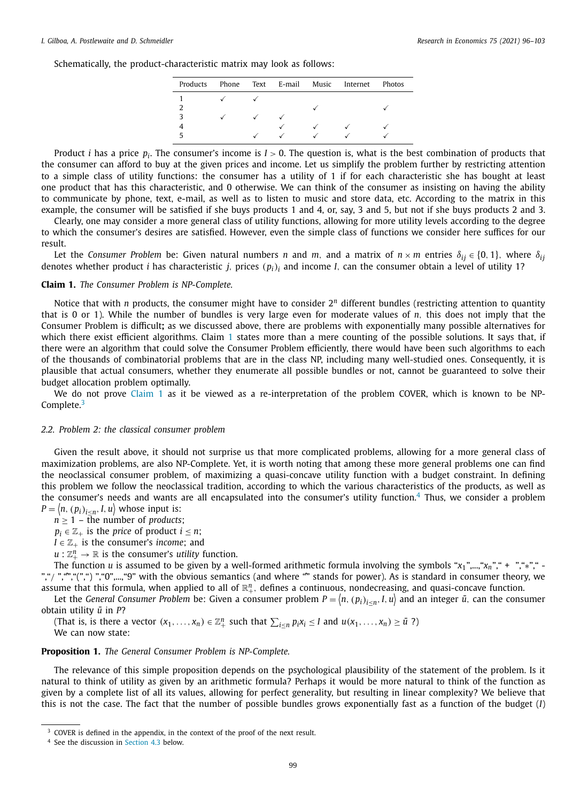Schematically, the product-characteristic matrix may look as follows:

| Products |  |  | Phone Text E-mail Music Internet | Photos |
|----------|--|--|----------------------------------|--------|
|          |  |  |                                  |        |
|          |  |  |                                  |        |
|          |  |  |                                  |        |
|          |  |  |                                  |        |
|          |  |  |                                  |        |

Product *i* has a price *pi*. The consumer's income is *I* > 0. The question is, what is the best combination of products that the consumer can afford to buy at the given prices and income. Let us simplify the problem further by restricting attention to a simple class of utility functions: the consumer has a utility of 1 if for each characteristic she has bought at least one product that has this characteristic, and 0 otherwise. We can think of the consumer as insisting on having the ability to communicate by phone, text, e-mail, as well as to listen to music and store data, etc. According to the matrix in this example, the consumer will be satisfied if she buys products 1 and 4, or, say, 3 and 5, but not if she buys products 2 and 3.

Clearly, one may consider a more general class of utility functions, allowing for more utility levels according to the degree to which the consumer's desires are satisfied. However, even the simple class of functions we consider here suffices for our result.

Let the *Consumer Problem* be: Given natural numbers *n* and *m*, and a matrix of  $n \times m$  entries  $\delta_{ij} \in \{0, 1\}$ , where  $\delta_{ij}$ denotes whether product *i* has characteristic *j*, prices (*pi*)*<sup>i</sup>* and income *I*, can the consumer obtain a level of utility 1?

#### **Claim 1.** *The Consumer Problem is NP-Complete.*

Notice that with *n* products, the consumer might have to consider  $2<sup>n</sup>$  different bundles (restricting attention to quantity that is 0 or 1). While the number of bundles is very large even for moderate values of *n*, this does not imply that the Consumer Problem is difficult**;** as we discussed above, there are problems with exponentially many possible alternatives for which there exist efficient algorithms. Claim 1 states more than a mere counting of the possible solutions. It says that, if there were an algorithm that could solve the Consumer Problem efficiently, there would have been such algorithms to each of the thousands of combinatorial problems that are in the class NP, including many well-studied ones. Consequently, it is plausible that actual consumers, whether they enumerate all possible bundles or not, cannot be guaranteed to solve their budget allocation problem optimally.

We do not prove Claim 1 as it be viewed as a re-interpretation of the problem COVER, which is known to be NP-Complete.<sup>3</sup>

#### *2.2. Problem 2: the classical consumer problem*

Given the result above, it should not surprise us that more complicated problems, allowing for a more general class of maximization problems, are also NP-Complete. Yet, it is worth noting that among these more general problems one can find the neoclassical consumer problem, of maximizing a quasi-concave utility function with a budget constraint. In defining this problem we follow the neoclassical tradition, according to which the various characteristics of the products, as well as the consumer's needs and wants are all encapsulated into the consumer's utility function.<sup>4</sup> Thus, we consider a problem  $P = \langle n, (p_i)_{i \leq n}, I, u \rangle$  whose input is:

 $n \geq 1$  – the number of *products*;

 $p_i \in \mathbb{Z}_+$  *is the price of product*  $i \leq n$ *;* 

 $I \in \mathbb{Z}_+$  *is the consumer's income*; and

 $u:\mathbb{Z}_{+}^{n}\to\mathbb{R}$  is the consumer's *utility* function.

The function *u* is assumed to be given by a well-formed arithmetic formula involving the symbols "*x*1",...,"*xn*"," + ","∗"," - ","/ ",",",",",",")","0",...,"9" with the obvious semantics (and where "" stands for power). As is standard in consumer theory, we assume that this formula, when applied to all of  $\mathbb{R}^n_+$ , defines a continuous, nondecreasing, and quasi-concave function.

Let the *General Consumer Problem be: Given a consumer problem*  $P=\left\langle n,(p_i)_{i\leq n},I,u\right\rangle$  *and an integer*  $\bar u$ *, can the consumer* obtain utility  $\bar{u}$  in *P*?

(That is, is there a vector  $(x_1, ..., x_n) \in \mathbb{Z}_+^n$  such that  $\sum_{i \leq n} p_i x_i \leq I$  and  $u(x_1, ..., x_n) \geq \bar{u}$  ?) We can now state:

**Proposition 1.** *The General Consumer Problem is NP-Complete.*

The relevance of this simple proposition depends on the psychological plausibility of the statement of the problem. Is it natural to think of utility as given by an arithmetic formula? Perhaps it would be more natural to think of the function as given by a complete list of all its values, allowing for perfect generality, but resulting in linear complexity? We believe that this is not the case. The fact that the number of possible bundles grows exponentially fast as a function of the budget (*I*)

<sup>&</sup>lt;sup>3</sup> COVER is defined in the appendix, in the context of the proof of the next result.

<sup>4</sup> See the discussion in [Section](#page-7-0) 4.3 below.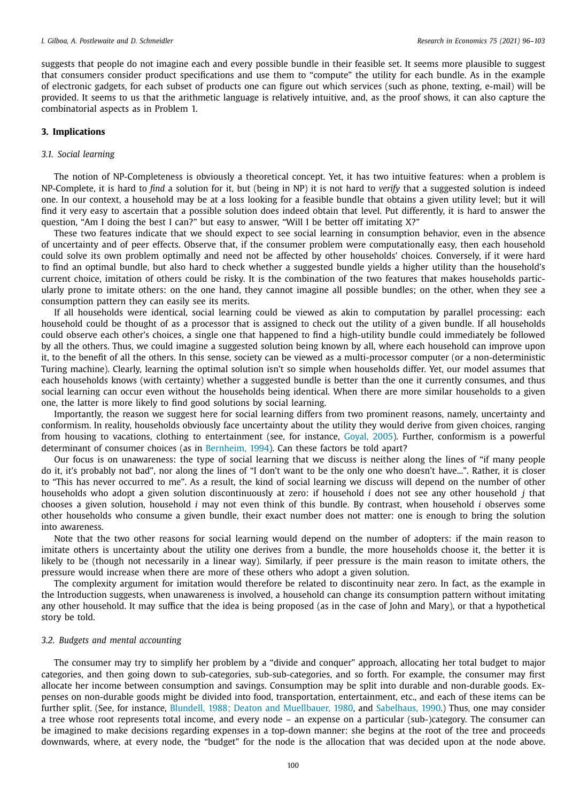<span id="page-5-0"></span>suggests that people do not imagine each and every possible bundle in their feasible set. It seems more plausible to suggest that consumers consider product specifications and use them to "compute" the utility for each bundle. As in the example of electronic gadgets, for each subset of products one can figure out which services (such as phone, texting, e-mail) will be provided. It seems to us that the arithmetic language is relatively intuitive, and, as the proof shows, it can also capture the combinatorial aspects as in Problem 1.

# **3. Implications**

# *3.1. Social learning*

The notion of NP-Completeness is obviously a theoretical concept. Yet, it has two intuitive features: when a problem is NP-Complete, it is hard to *find* a solution for it, but (being in NP) it is not hard to *verify* that a suggested solution is indeed one. In our context, a household may be at a loss looking for a feasible bundle that obtains a given utility level; but it will find it very easy to ascertain that a possible solution does indeed obtain that level. Put differently, it is hard to answer the question, "Am I doing the best I can?" but easy to answer, "Will I be better off imitating X?"

These two features indicate that we should expect to see social learning in consumption behavior, even in the absence of uncertainty and of peer effects. Observe that, if the consumer problem were computationally easy, then each household could solve its own problem optimally and need not be affected by other households' choices. Conversely, if it were hard to find an optimal bundle, but also hard to check whether a suggested bundle yields a higher utility than the household's current choice, imitation of others could be risky. It is the combination of the two features that makes households particularly prone to imitate others: on the one hand, they cannot imagine all possible bundles; on the other, when they see a consumption pattern they can easily see its merits.

If all households were identical, social learning could be viewed as akin to computation by parallel processing: each household could be thought of as a processor that is assigned to check out the utility of a given bundle. If all households could observe each other's choices, a single one that happened to find a high-utility bundle could immediately be followed by all the others. Thus, we could imagine a suggested solution being known by all, where each household can improve upon it, to the benefit of all the others. In this sense, society can be viewed as a multi-processor computer (or a non-deterministic Turing machine). Clearly, learning the optimal solution isn't so simple when households differ. Yet, our model assumes that each households knows (with certainty) whether a suggested bundle is better than the one it currently consumes, and thus social learning can occur even without the households being identical. When there are more similar households to a given one, the latter is more likely to find good solutions by social learning.

Importantly, the reason we suggest here for social learning differs from two prominent reasons, namely, uncertainty and conformism. In reality, households obviously face uncertainty about the utility they would derive from given choices, ranging from housing to vacations, clothing to entertainment (see, for instance, [Goyal,](#page-8-0) 2005). Further, conformism is a powerful determinant of consumer choices (as in [Bernheim,](#page-8-0) 1994). Can these factors be told apart?

Our focus is on unawareness: the type of social learning that we discuss is neither along the lines of "if many people do it, it's probably not bad", nor along the lines of "I don't want to be the only one who doesn't have...". Rather, it is closer to "This has never occurred to me". As a result, the kind of social learning we discuss will depend on the number of other households who adopt a given solution discontinuously at zero: if household *i* does not see any other household *j* that chooses a given solution, household *i* may not even think of this bundle. By contrast, when household *i* observes some other households who consume a given bundle, their exact number does not matter: one is enough to bring the solution into awareness.

Note that the two other reasons for social learning would depend on the number of adopters: if the main reason to imitate others is uncertainty about the utility one derives from a bundle, the more households choose it, the better it is likely to be (though not necessarily in a linear way). Similarly, if peer pressure is the main reason to imitate others, the pressure would increase when there are more of these others who adopt a given solution.

The complexity argument for imitation would therefore be related to discontinuity near zero. In fact, as the example in the Introduction suggests, when unawareness is involved, a household can change its consumption pattern without imitating any other household. It may suffice that the idea is being proposed (as in the case of John and Mary), or that a hypothetical story be told.

#### *3.2. Budgets and mental accounting*

The consumer may try to simplify her problem by a "divide and conquer" approach, allocating her total budget to major categories, and then going down to sub-categories, sub-sub-categories, and so forth. For example, the consumer may first allocate her income between consumption and savings. Consumption may be split into durable and non-durable goods. Expenses on non-durable goods might be divided into food, transportation, entertainment, etc., and each of these items can be further split. (See, for instance, Blundell, 1988; Deaton and [Muellbauer,](#page-8-0) 1980, and [Sabelhaus,](#page-8-0) 1990.) Thus, one may consider a tree whose root represents total income, and every node – an expense on a particular (sub-)category. The consumer can be imagined to make decisions regarding expenses in a top-down manner: she begins at the root of the tree and proceeds downwards, where, at every node, the "budget" for the node is the allocation that was decided upon at the node above.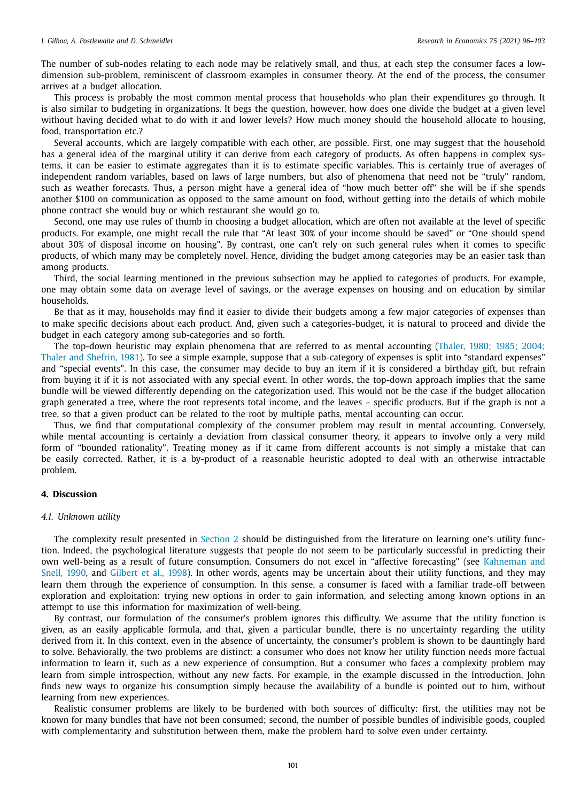<span id="page-6-0"></span>The number of sub-nodes relating to each node may be relatively small, and thus, at each step the consumer faces a lowdimension sub-problem, reminiscent of classroom examples in consumer theory. At the end of the process, the consumer arrives at a budget allocation.

This process is probably the most common mental process that households who plan their expenditures go through. It is also similar to budgeting in organizations. It begs the question, however, how does one divide the budget at a given level without having decided what to do with it and lower levels? How much money should the household allocate to housing, food, transportation etc.?

Several accounts, which are largely compatible with each other, are possible. First, one may suggest that the household has a general idea of the marginal utility it can derive from each category of products. As often happens in complex systems, it can be easier to estimate aggregates than it is to estimate specific variables. This is certainly true of averages of independent random variables, based on laws of large numbers, but also of phenomena that need not be "truly" random, such as weather forecasts. Thus, a person might have a general idea of "how much better off" she will be if she spends another \$100 on communication as opposed to the same amount on food, without getting into the details of which mobile phone contract she would buy or which restaurant she would go to.

Second, one may use rules of thumb in choosing a budget allocation, which are often not available at the level of specific products. For example, one might recall the rule that "At least 30% of your income should be saved" or "One should spend about 30% of disposal income on housing". By contrast, one can't rely on such general rules when it comes to specific products, of which many may be completely novel. Hence, dividing the budget among categories may be an easier task than among products.

Third, the social learning mentioned in the previous subsection may be applied to categories of products. For example, one may obtain some data on average level of savings, or the average expenses on housing and on education by similar households.

Be that as it may, households may find it easier to divide their budgets among a few major categories of expenses than to make specific decisions about each product. And, given such a categories-budget, it is natural to proceed and divide the budget in each category among sub-categories and so forth.

The top-down heuristic may explain phenomena that are referred to as mental accounting (Thaler, 1980; 1985; 2004; Thaler and Shefrin, 1981). To see a simple example, suppose that a [sub-category](#page-8-0) of expenses is split into "standard expenses" and "special events". In this case, the consumer may decide to buy an item if it is considered a birthday gift, but refrain from buying it if it is not associated with any special event. In other words, the top-down approach implies that the same bundle will be viewed differently depending on the categorization used. This would not be the case if the budget allocation graph generated a tree, where the root represents total income, and the leaves – specific products. But if the graph is not a tree, so that a given product can be related to the root by multiple paths, mental accounting can occur.

Thus, we find that computational complexity of the consumer problem may result in mental accounting. Conversely, while mental accounting is certainly a deviation from classical consumer theory, it appears to involve only a very mild form of "bounded rationality". Treating money as if it came from different accounts is not simply a mistake that can be easily corrected. Rather, it is a by-product of a reasonable heuristic adopted to deal with an otherwise intractable problem.

# **4. Discussion**

# *4.1. Unknown utility*

The complexity result presented in [Section](#page-3-0) 2 should be distinguished from the literature on learning one's utility function. Indeed, the psychological literature suggests that people do not seem to be particularly successful in predicting their own well-being as a result of future consumption. Consumers do not excel in "affective [forecasting" \(see](#page-8-0) Kahneman and Snell, 1990, and [Gilbert](#page-8-0) et al., 1998). In other words, agents may be uncertain about their utility functions, and they may learn them through the experience of consumption. In this sense, a consumer is faced with a familiar trade-off between exploration and exploitation: trying new options in order to gain information, and selecting among known options in an attempt to use this information for maximization of well-being.

By contrast, our formulation of the consumer's problem ignores this difficulty. We assume that the utility function is given, as an easily applicable formula, and that, given a particular bundle, there is no uncertainty regarding the utility derived from it. In this context, even in the absence of uncertainty, the consumer's problem is shown to be dauntingly hard to solve. Behaviorally, the two problems are distinct: a consumer who does not know her utility function needs more factual information to learn it, such as a new experience of consumption. But a consumer who faces a complexity problem may learn from simple introspection, without any new facts. For example, in the example discussed in the Introduction, John finds new ways to organize his consumption simply because the availability of a bundle is pointed out to him, without learning from new experiences.

Realistic consumer problems are likely to be burdened with both sources of difficulty: first, the utilities may not be known for many bundles that have not been consumed; second, the number of possible bundles of indivisible goods, coupled with complementarity and substitution between them, make the problem hard to solve even under certainty.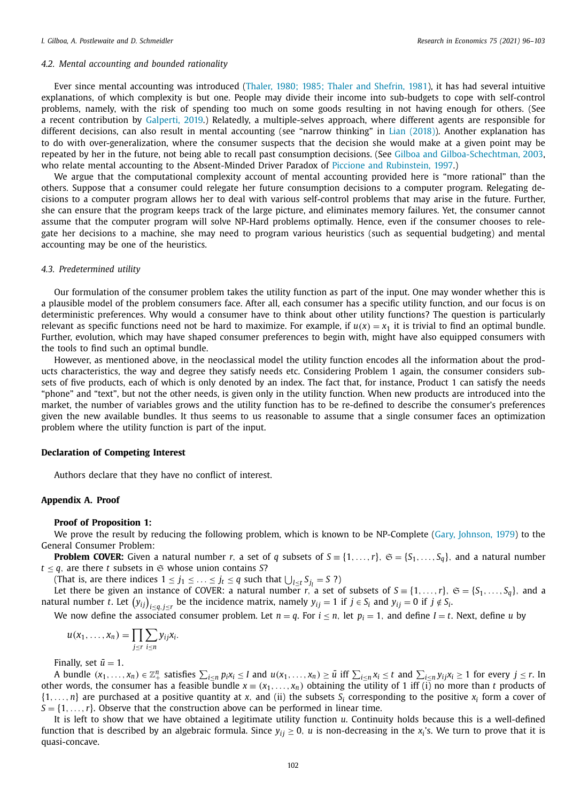# <span id="page-7-0"></span>*4.2. Mental accounting and bounded rationality*

Ever since mental accounting was introduced (Thaler, 1980; 1985; Thaler and [Shefrin,](#page-8-0) 1981), it has had several intuitive explanations, of which complexity is but one. People may divide their income into sub-budgets to cope with self-control problems, namely, with the risk of spending too much on some goods resulting in not having enough for others. (See a recent contribution by [Galperti,](#page-8-0) 2019.) Relatedly, a multiple-selves approach, where different agents are responsible for different decisions, can also result in mental accounting (see "narrow thinking" in Lian [\(2018\)\)](#page-8-0). Another explanation has to do with over-generalization, where the consumer suspects that the decision she would make at a given point may be repeated by her in the future, not being able to recall past consumption decisions. (See Gilboa and [Gilboa-Schechtman,](#page-8-0) 2003, who relate mental accounting to the Absent-Minded Driver Paradox of Piccione and [Rubinstein,](#page-8-0) 1997.)

We argue that the computational complexity account of mental accounting provided here is "more rational" than the others. Suppose that a consumer could relegate her future consumption decisions to a computer program. Relegating decisions to a computer program allows her to deal with various self-control problems that may arise in the future. Further, she can ensure that the program keeps track of the large picture, and eliminates memory failures. Yet, the consumer cannot assume that the computer program will solve NP-Hard problems optimally. Hence, even if the consumer chooses to relegate her decisions to a machine, she may need to program various heuristics (such as sequential budgeting) and mental accounting may be one of the heuristics.

#### *4.3. Predetermined utility*

Our formulation of the consumer problem takes the utility function as part of the input. One may wonder whether this is a plausible model of the problem consumers face. After all, each consumer has a specific utility function, and our focus is on deterministic preferences. Why would a consumer have to think about other utility functions? The question is particularly relevant as specific functions need not be hard to maximize. For example, if  $u(x) = x_1$  it is trivial to find an optimal bundle. Further, evolution, which may have shaped consumer preferences to begin with, might have also equipped consumers with the tools to find such an optimal bundle.

However, as mentioned above, in the neoclassical model the utility function encodes all the information about the products characteristics, the way and degree they satisfy needs etc. Considering Problem 1 again, the consumer considers subsets of five products, each of which is only denoted by an index. The fact that, for instance, Product 1 can satisfy the needs "phone" and "text", but not the other needs, is given only in the utility function. When new products are introduced into the market, the number of variables grows and the utility function has to be re-defined to describe the consumer's preferences given the new available bundles. It thus seems to us reasonable to assume that a single consumer faces an optimization problem where the utility function is part of the input.

## **Declaration of Competing Interest**

Authors declare that they have no conflict of interest.

# **Appendix A. Proof**

#### **Proof of Proposition 1:**

We prove the result by reducing the following problem, which is known to be NP-Complete (Gary, [Johnson,](#page-8-0) 1979) to the General Consumer Problem:

**Problem COVER:** Given a natural number *r*, a set of *q* subsets of  $S = \{1, ..., r\}$ ,  $\mathfrak{S} = \{S_1, ..., S_q\}$ , and a natural number  $t \leq q$ , are there *t* subsets in  $\mathfrak{S}$  whose union contains *S*?

(That is, are there indices  $1 \leq j_1 \leq \ldots \leq j_t \leq q$  such that  $\bigcup_{l \leq t} S_{j_l} = S$ ?)

Let there be given an instance of COVER: a natural number *r*, a set of subsets of  $S = \{1, \ldots, r\}$ ,  $\mathfrak{S} = \{S_1, \ldots, S_q\}$ , and a natural number *t*. Let  $(y_{ij})_{i\leq q, j\leq r}$  be the incidence matrix, namely  $y_{ij} = 1$  if  $j \in S_i$  and  $y_{ij} = 0$  if  $j \notin S_i$ .

We now define the associated consumer problem. Let  $n = q$ . For  $i \le n$ , let  $p_i = 1$ , and define  $I = t$ . Next, define *u* by

$$
u(x_1,\ldots,x_n)=\prod_{j\leq r}\sum_{i\leq n}y_{ij}x_i.
$$

Finally, set  $\bar{u} = 1$ .

A bundle  $(x_1,...,x_n) \in \mathbb{Z}_+^n$  satisfies  $\sum_{i\leq n} p_i x_i \leq I$  and  $u(x_1,...,x_n) \geq \bar{u}$  iff  $\sum_{i\leq n} x_i \leq t$  and  $\sum_{i\leq n} y_{ij} x_i \geq 1$  for every  $j \leq r$ . In other words, the consumer has a feasible bundle  $x = (x_1, \ldots, x_n)$  obtaining the utility of 1 iff (i) no more than *t* products of  $\{1,\ldots,n\}$  are purchased at a positive quantity at x, and (ii) the subsets  $S_i$  corresponding to the positive  $x_i$  form a cover of  $S = \{1, \ldots, r\}$ . Observe that the construction above can be performed in linear time.

It is left to show that we have obtained a legitimate utility function *u*. Continuity holds because this is a well-defined function that is described by an algebraic formula. Since  $y_{ij} \ge 0$ , *u* is non-decreasing in the  $x_i$ 's. We turn to prove that it is quasi-concave.